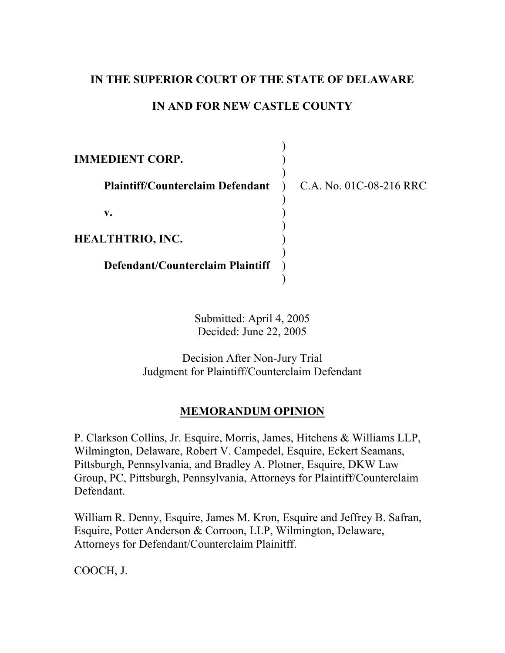# **IN THE SUPERIOR COURT OF THE STATE OF DELAWARE**

# **IN AND FOR NEW CASTLE COUNTY**

| <b>IMMEDIENT CORP.</b>                  |                                      |
|-----------------------------------------|--------------------------------------|
| <b>Plaintiff/Counterclaim Defendant</b> | C.A. No. 01C-08-216 RRC<br>$\lambda$ |
| v.                                      |                                      |
| <b>HEALTHTRIO, INC.</b>                 |                                      |
| Defendant/Counterclaim Plaintiff        |                                      |
|                                         |                                      |

Submitted: April 4, 2005 Decided: June 22, 2005

Decision After Non-Jury Trial Judgment for Plaintiff/Counterclaim Defendant

# **MEMORANDUM OPINION**

P. Clarkson Collins, Jr. Esquire, Morris, James, Hitchens & Williams LLP, Wilmington, Delaware, Robert V. Campedel, Esquire, Eckert Seamans, Pittsburgh, Pennsylvania, and Bradley A. Plotner, Esquire, DKW Law Group, PC, Pittsburgh, Pennsylvania, Attorneys for Plaintiff/Counterclaim Defendant.

William R. Denny, Esquire, James M. Kron, Esquire and Jeffrey B. Safran, Esquire, Potter Anderson & Corroon, LLP, Wilmington, Delaware, Attorneys for Defendant/Counterclaim Plainitff.

COOCH, J.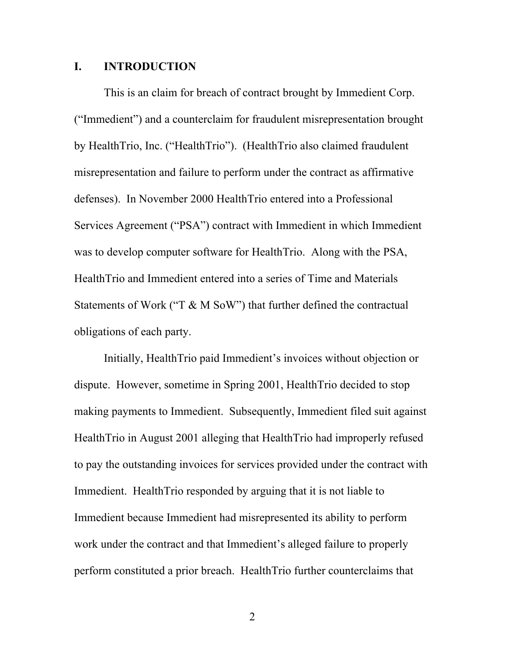### **I. INTRODUCTION**

This is an claim for breach of contract brought by Immedient Corp. ("Immedient") and a counterclaim for fraudulent misrepresentation brought by HealthTrio, Inc. ("HealthTrio"). (HealthTrio also claimed fraudulent misrepresentation and failure to perform under the contract as affirmative defenses). In November 2000 HealthTrio entered into a Professional Services Agreement ("PSA") contract with Immedient in which Immedient was to develop computer software for HealthTrio. Along with the PSA, HealthTrio and Immedient entered into a series of Time and Materials Statements of Work ("T & M SoW") that further defined the contractual obligations of each party.

Initially, HealthTrio paid Immedient's invoices without objection or dispute. However, sometime in Spring 2001, HealthTrio decided to stop making payments to Immedient. Subsequently, Immedient filed suit against HealthTrio in August 2001 alleging that HealthTrio had improperly refused to pay the outstanding invoices for services provided under the contract with Immedient. HealthTrio responded by arguing that it is not liable to Immedient because Immedient had misrepresented its ability to perform work under the contract and that Immedient's alleged failure to properly perform constituted a prior breach. HealthTrio further counterclaims that

2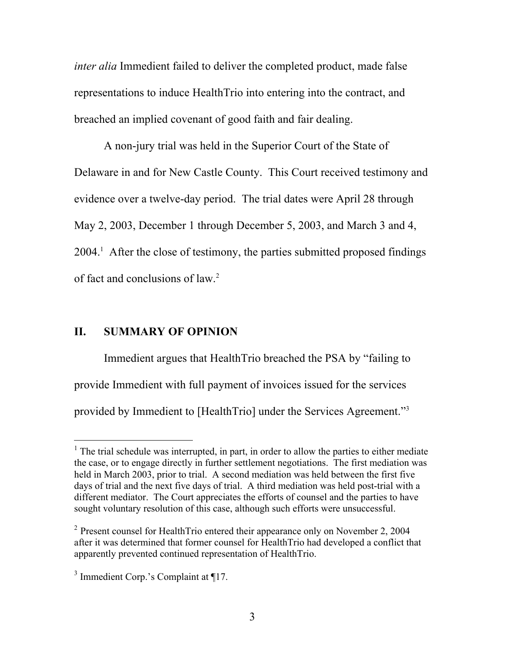*inter alia* Immedient failed to deliver the completed product, made false representations to induce HealthTrio into entering into the contract, and breached an implied covenant of good faith and fair dealing.

A non-jury trial was held in the Superior Court of the State of Delaware in and for New Castle County. This Court received testimony and evidence over a twelve-day period. The trial dates were April 28 through May 2, 2003, December 1 through December 5, 2003, and March 3 and 4, 2004.[1](#page-2-0) After the close of testimony, the parties submitted proposed findings of fact and conclusions of law.<sup>[2](#page-2-1)</sup>

## **II. SUMMARY OF OPINION**

Immedient argues that HealthTrio breached the PSA by "failing to provide Immedient with full payment of invoices issued for the services provided by Immedient to [HealthTrio] under the Services Agreement."<sup>[3](#page-2-2)</sup>

<span id="page-2-0"></span> $\frac{1}{1}$  $1$ . The trial schedule was interrupted, in part, in order to allow the parties to either mediate the case, or to engage directly in further settlement negotiations. The first mediation was held in March 2003, prior to trial. A second mediation was held between the first five days of trial and the next five days of trial. A third mediation was held post-trial with a different mediator. The Court appreciates the efforts of counsel and the parties to have sought voluntary resolution of this case, although such efforts were unsuccessful.

<span id="page-2-1"></span><sup>&</sup>lt;sup>2</sup> Present counsel for HealthTrio entered their appearance only on November 2, 2004 after it was determined that former counsel for HealthTrio had developed a conflict that apparently prevented continued representation of HealthTrio.

<span id="page-2-2"></span><sup>&</sup>lt;sup>3</sup> Immedient Corp.'s Complaint at ¶17.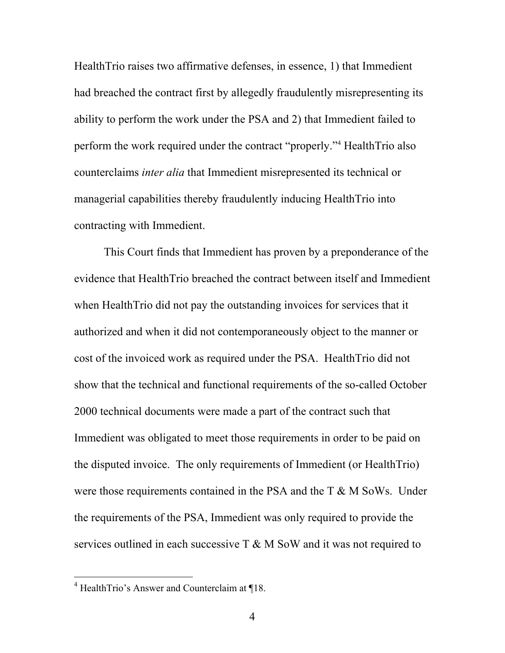HealthTrio raises two affirmative defenses, in essence, 1) that Immedient had breached the contract first by allegedly fraudulently misrepresenting its ability to perform the work under the PSA and 2) that Immedient failed to perform the work required under the contract "properly."<sup>[4](#page-3-0)</sup> HealthTrio also counterclaims *inter alia* that Immedient misrepresented its technical or managerial capabilities thereby fraudulently inducing HealthTrio into contracting with Immedient.

This Court finds that Immedient has proven by a preponderance of the evidence that HealthTrio breached the contract between itself and Immedient when HealthTrio did not pay the outstanding invoices for services that it authorized and when it did not contemporaneously object to the manner or cost of the invoiced work as required under the PSA. HealthTrio did not show that the technical and functional requirements of the so-called October 2000 technical documents were made a part of the contract such that Immedient was obligated to meet those requirements in order to be paid on the disputed invoice. The only requirements of Immedient (or HealthTrio) were those requirements contained in the PSA and the T & M SoWs. Under the requirements of the PSA, Immedient was only required to provide the services outlined in each successive T & M SoW and it was not required to

<span id="page-3-0"></span> $\frac{1}{4}$  $4$  HealthTrio's Answer and Counterclaim at ¶18.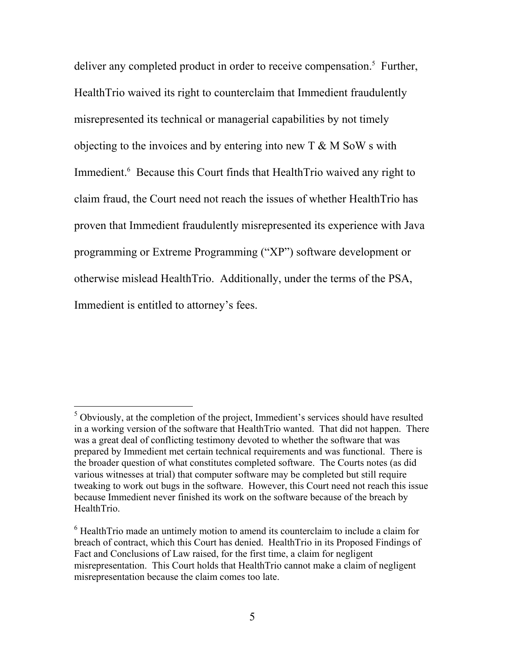deliver any completed product in order to receive compensation.<sup>[5](#page-4-0)</sup> Further, HealthTrio waived its right to counterclaim that Immedient fraudulently misrepresented its technical or managerial capabilities by not timely objecting to the invoices and by entering into new  $T \& M \& S \& W \&$ Immedient.<sup>[6](#page-4-1)</sup> Because this Court finds that HealthTrio waived any right to claim fraud, the Court need not reach the issues of whether HealthTrio has proven that Immedient fraudulently misrepresented its experience with Java programming or Extreme Programming ("XP") software development or otherwise mislead HealthTrio. Additionally, under the terms of the PSA, Immedient is entitled to attorney's fees.

<span id="page-4-0"></span> <sup>5</sup>  $5$  Obviously, at the completion of the project, Immedient's services should have resulted in a working version of the software that HealthTrio wanted. That did not happen. There was a great deal of conflicting testimony devoted to whether the software that was prepared by Immedient met certain technical requirements and was functional. There is the broader question of what constitutes completed software. The Courts notes (as did various witnesses at trial) that computer software may be completed but still require tweaking to work out bugs in the software. However, this Court need not reach this issue because Immedient never finished its work on the software because of the breach by HealthTrio.

<span id="page-4-1"></span><sup>&</sup>lt;sup>6</sup> Health Trio made an untimely motion to amend its counterclaim to include a claim for breach of contract, which this Court has denied. HealthTrio in its Proposed Findings of Fact and Conclusions of Law raised, for the first time, a claim for negligent misrepresentation. This Court holds that HealthTrio cannot make a claim of negligent misrepresentation because the claim comes too late.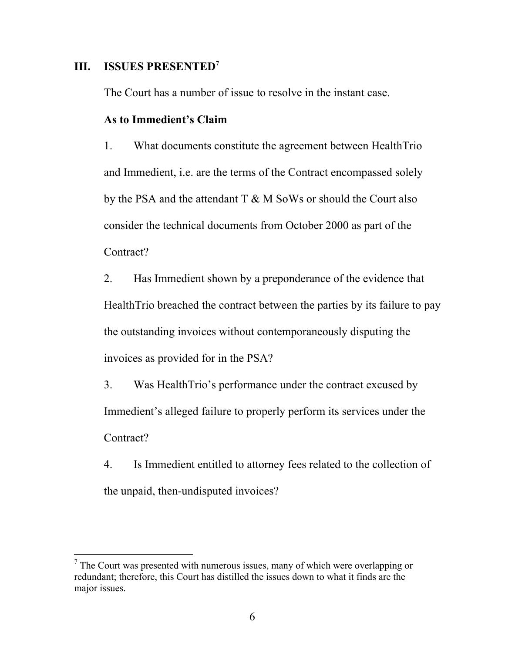### **III. ISSUES PRESENTED[7](#page-5-0)**

The Court has a number of issue to resolve in the instant case.

### **As to Immedient's Claim**

1. What documents constitute the agreement between HealthTrio and Immedient, i.e. are the terms of the Contract encompassed solely by the PSA and the attendant T & M SoWs or should the Court also consider the technical documents from October 2000 as part of the Contract?

2. Has Immedient shown by a preponderance of the evidence that HealthTrio breached the contract between the parties by its failure to pay the outstanding invoices without contemporaneously disputing the invoices as provided for in the PSA?

3. Was HealthTrio's performance under the contract excused by Immedient's alleged failure to properly perform its services under the Contract?

4. Is Immedient entitled to attorney fees related to the collection of the unpaid, then-undisputed invoices?

<span id="page-5-0"></span><sup>&</sup>lt;sup>-</sup>7  $\frac{7}{1}$  The Court was presented with numerous issues, many of which were overlapping or redundant; therefore, this Court has distilled the issues down to what it finds are the major issues.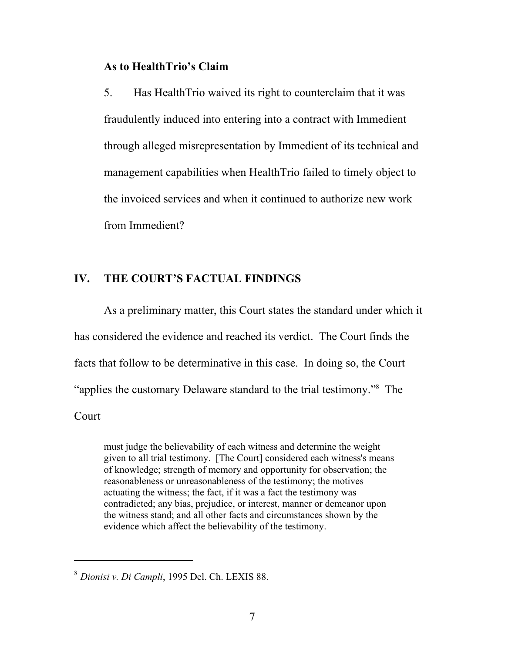### **As to HealthTrio's Claim**

5. Has HealthTrio waived its right to counterclaim that it was fraudulently induced into entering into a contract with Immedient through alleged misrepresentation by Immedient of its technical and management capabilities when HealthTrio failed to timely object to the invoiced services and when it continued to authorize new work from Immedient?

## **IV. THE COURT'S FACTUAL FINDINGS**

As a preliminary matter, this Court states the standard under which it has considered the evidence and reached its verdict. The Court finds the facts that follow to be determinative in this case. In doing so, the Court "applies the customary Delaware standard to the trial testimony."[8](#page-6-0) The **Court** 

must judge the believability of each witness and determine the weight given to all trial testimony. [The Court] considered each witness's means of knowledge; strength of memory and opportunity for observation; the reasonableness or unreasonableness of the testimony; the motives actuating the witness; the fact, if it was a fact the testimony was contradicted; any bias, prejudice, or interest, manner or demeanor upon the witness stand; and all other facts and circumstances shown by the evidence which affect the believability of the testimony.

l

<span id="page-6-0"></span><sup>8</sup> *Dionisi v. Di Campli*, 1995 Del. Ch. LEXIS 88.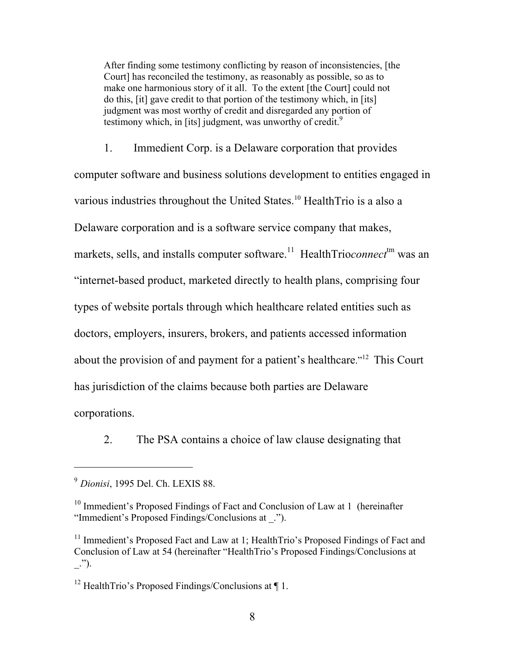After finding some testimony conflicting by reason of inconsistencies, [the Court] has reconciled the testimony, as reasonably as possible, so as to make one harmonious story of it all. To the extent [the Court] could not do this, [it] gave credit to that portion of the testimony which, in [its] judgment was most worthy of credit and disregarded any portion of testimony which, in [its] judgment, was unworthy of credit.<sup>[9](#page-7-0)</sup>

1. Immedient Corp. is a Delaware corporation that provides computer software and business solutions development to entities engaged in various industries throughout the United States.[10](#page-7-1) HealthTrio is a also a Delaware corporation and is a software service company that makes, markets, sells, and installs computer software.<sup>11</sup> HealthTrio*connect*<sup>tm</sup> was an "internet-based product, marketed directly to health plans, comprising four types of website portals through which healthcare related entities such as doctors, employers, insurers, brokers, and patients accessed information about the provision of and payment for a patient's healthcare.["12](#page-7-3) This Court has jurisdiction of the claims because both parties are Delaware corporations.

2. The PSA contains a choice of law clause designating that

<span id="page-7-0"></span><sup>9</sup> *Dionisi*, 1995 Del. Ch. LEXIS 88.

<span id="page-7-1"></span><sup>&</sup>lt;sup>10</sup> Immedient's Proposed Findings of Fact and Conclusion of Law at 1 (hereinafter "Immedient's Proposed Findings/Conclusions at \_.").

<span id="page-7-2"></span><sup>&</sup>lt;sup>11</sup> Immedient's Proposed Fact and Law at 1; HealthTrio's Proposed Findings of Fact and Conclusion of Law at 54 (hereinafter "HealthTrio's Proposed Findings/Conclusions at  $\ldots$ ").

<span id="page-7-3"></span><sup>&</sup>lt;sup>12</sup> HealthTrio's Proposed Findings/Conclusions at  $\P$  1.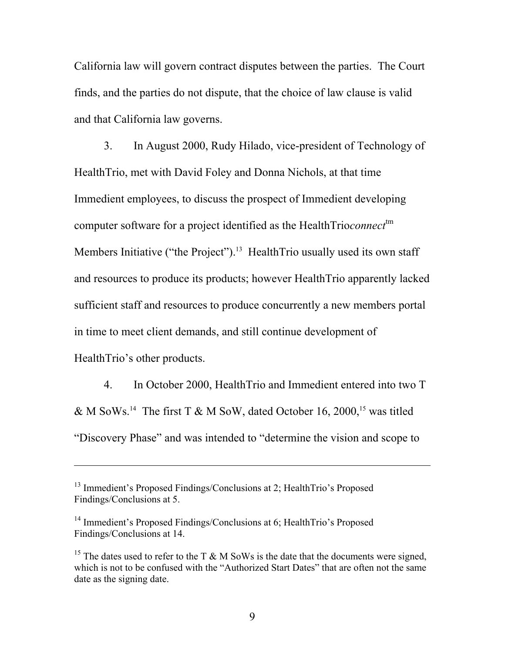California law will govern contract disputes between the parties. The Court finds, and the parties do not dispute, that the choice of law clause is valid and that California law governs.

3. In August 2000, Rudy Hilado, vice-president of Technology of HealthTrio, met with David Foley and Donna Nichols, at that time Immedient employees, to discuss the prospect of Immedient developing computer software for a project identified as the HealthTrio*connect*<sup>tm</sup> Members Initiative ("the Project").<sup>13</sup> HealthTrio usually used its own staff and resources to produce its products; however HealthTrio apparently lacked sufficient staff and resources to produce concurrently a new members portal in time to meet client demands, and still continue development of HealthTrio's other products.

4. In October 2000, HealthTrio and Immedient entered into two T & M SoWs.<sup>14</sup> The first T & M SoW, dated October 16, 2000,<sup>15</sup> was titled "Discovery Phase" and was intended to "determine the vision and scope to

<span id="page-8-0"></span><sup>&</sup>lt;sup>13</sup> Immedient's Proposed Findings/Conclusions at 2; HealthTrio's Proposed Findings/Conclusions at 5.

<span id="page-8-1"></span><sup>&</sup>lt;sup>14</sup> Immedient's Proposed Findings/Conclusions at 6: HealthTrio's Proposed Findings/Conclusions at 14.

<span id="page-8-2"></span><sup>&</sup>lt;sup>15</sup> The dates used to refer to the T & M SoWs is the date that the documents were signed, which is not to be confused with the "Authorized Start Dates" that are often not the same date as the signing date.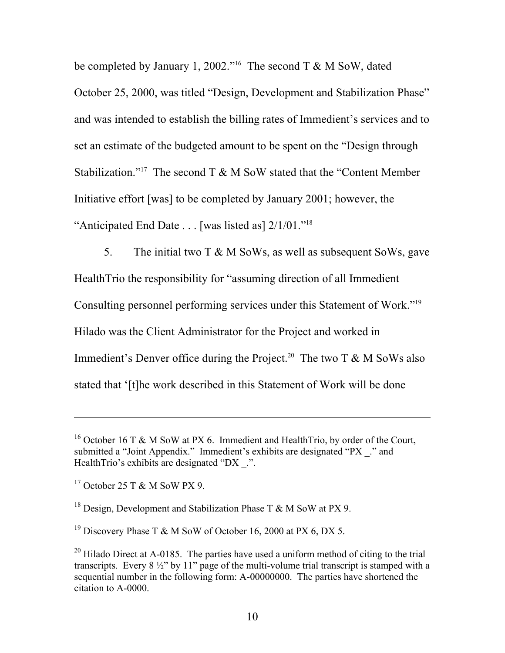be completed by January 1, 2002."<sup>16</sup> The second T & M SoW, dated October 25, 2000, was titled "Design, Development and Stabilization Phase" and was intended to establish the billing rates of Immedient's services and to set an estimate of the budgeted amount to be spent on the "Design through Stabilization."[17](#page-9-1) The second T & M SoW stated that the "Content Member Initiative effort [was] to be completed by January 2001; however, the "Anticipated End Date . . . [was listed as] 2/1/01.["18](#page-9-2) 

5. The initial two T & M SoWs, as well as subsequent SoWs, gave HealthTrio the responsibility for "assuming direction of all Immedient Consulting personnel performing services under this Statement of Work.["19](#page-9-3)  Hilado was the Client Administrator for the Project and worked in Immedient's Denver office during the Project.<sup>20</sup> The two T  $\&$  M SoWs also stated that '[t]he work described in this Statement of Work will be done

<span id="page-9-0"></span><sup>&</sup>lt;sup>16</sup> October 16 T & M SoW at PX 6. Immedient and HealthTrio, by order of the Court, submitted a "Joint Appendix." Immedient's exhibits are designated "PX \_." and HealthTrio's exhibits are designated "DX .".

<span id="page-9-1"></span><sup>17</sup> October 25 T & M SoW PX 9.

<span id="page-9-2"></span><sup>&</sup>lt;sup>18</sup> Design, Development and Stabilization Phase T & M SoW at PX 9.

<span id="page-9-3"></span><sup>&</sup>lt;sup>19</sup> Discovery Phase T & M SoW of October 16, 2000 at PX 6, DX 5.

<span id="page-9-4"></span><sup>&</sup>lt;sup>20</sup> Hilado Direct at A-0185. The parties have used a uniform method of citing to the trial transcripts. Every 8 ½" by 11" page of the multi-volume trial transcript is stamped with a sequential number in the following form: A-00000000. The parties have shortened the citation to A-0000.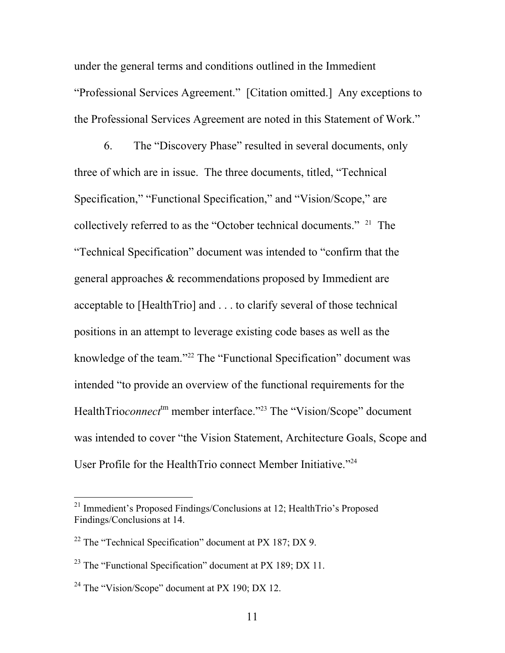under the general terms and conditions outlined in the Immedient "Professional Services Agreement." [Citation omitted.] Any exceptions to the Professional Services Agreement are noted in this Statement of Work."

6. The "Discovery Phase" resulted in several documents, only three of which are in issue. The three documents, titled, "Technical Specification," "Functional Specification," and "Vision/Scope," are collectively referred to as the "October technical documents." [21](#page-10-0) The "Technical Specification" document was intended to "confirm that the general approaches & recommendations proposed by Immedient are acceptable to [HealthTrio] and . . . to clarify several of those technical positions in an attempt to leverage existing code bases as well as the knowledge of the team."<sup>22</sup> The "Functional Specification" document was intended "to provide an overview of the functional requirements for the HealthTrio*connect*<sup>tm</sup> member interface."<sup>23</sup> The "Vision/Scope" document was intended to cover "the Vision Statement, Architecture Goals, Scope and User Profile for the HealthTrio connect Member Initiative.["24](#page-10-3) 

<span id="page-10-0"></span><sup>&</sup>lt;sup>21</sup> Immedient's Proposed Findings/Conclusions at 12; HealthTrio's Proposed Findings/Conclusions at 14.

<span id="page-10-1"></span> $22$  The "Technical Specification" document at PX 187; DX 9.

<span id="page-10-2"></span><sup>&</sup>lt;sup>23</sup> The "Functional Specification" document at PX 189; DX 11.

<span id="page-10-3"></span><sup>&</sup>lt;sup>24</sup> The "Vision/Scope" document at PX 190; DX 12.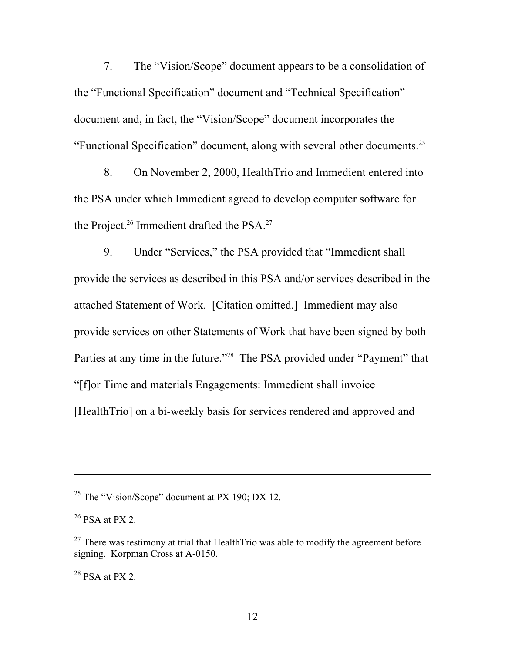7. The "Vision/Scope" document appears to be a consolidation of the "Functional Specification" document and "Technical Specification" document and, in fact, the "Vision/Scope" document incorporates the "Functional Specification" document, along with several other documents.[25](#page-11-0)

8. On November 2, 2000, HealthTrio and Immedient entered into the PSA under which Immedient agreed to develop computer software for the Project.<sup>26</sup> Immedient drafted the PSA.<sup>[27](#page-11-2)</sup>

9. Under "Services," the PSA provided that "Immedient shall provide the services as described in this PSA and/or services described in the attached Statement of Work. [Citation omitted.] Immedient may also provide services on other Statements of Work that have been signed by both Parties at any time in the future."[28](#page-11-3) The PSA provided under "Payment" that "[f]or Time and materials Engagements: Immedient shall invoice [HealthTrio] on a bi-weekly basis for services rendered and approved and

<span id="page-11-0"></span><sup>&</sup>lt;sup>25</sup> The "Vision/Scope" document at PX 190; DX 12.

<span id="page-11-1"></span> $26$  PSA at PX 2.

<span id="page-11-2"></span> $27$  There was testimony at trial that HealthTrio was able to modify the agreement before signing. Korpman Cross at A-0150.

<span id="page-11-3"></span> $28$  PSA at PX 2.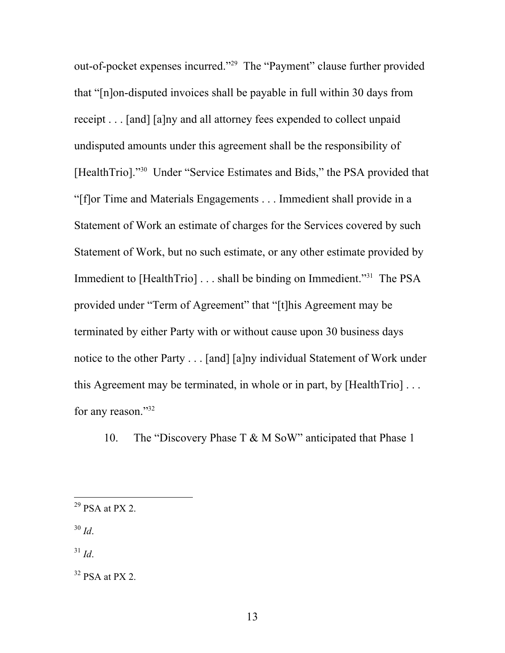out-of-pocket expenses incurred."<sup>29</sup> The "Payment" clause further provided that "[n]on-disputed invoices shall be payable in full within 30 days from receipt . . . [and] [a]ny and all attorney fees expended to collect unpaid undisputed amounts under this agreement shall be the responsibility of [HealthTrio]."[30](#page-12-1) Under "Service Estimates and Bids," the PSA provided that "[f]or Time and Materials Engagements . . . Immedient shall provide in a Statement of Work an estimate of charges for the Services covered by such Statement of Work, but no such estimate, or any other estimate provided by Immedient to [HealthTrio] . . . shall be binding on Immedient."<sup>31</sup> The PSA provided under "Term of Agreement" that "[t]his Agreement may be terminated by either Party with or without cause upon 30 business days notice to the other Party . . . [and] [a]ny individual Statement of Work under this Agreement may be terminated, in whole or in part, by [HealthTrio] . . . for any reason."<sup>[32](#page-12-3)</sup>

10. The "Discovery Phase T & M SoW" anticipated that Phase 1

<span id="page-12-1"></span><sup>30</sup> *Id*.

<span id="page-12-2"></span> $31$  *Id.* 

<span id="page-12-0"></span> $29$  PSA at PX 2.

<span id="page-12-3"></span> $32$  PSA at PX 2.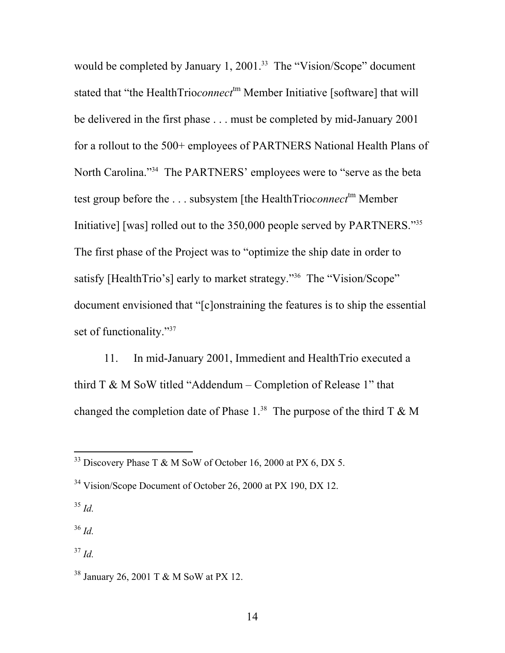would be completed by January 1, 2001.<sup>33</sup> The "Vision/Scope" document stated that "the HealthTrio*connect*<sup>tm</sup> Member Initiative [software] that will be delivered in the first phase . . . must be completed by mid-January 2001 for a rollout to the 500+ employees of PARTNERS National Health Plans of North Carolina."<sup>34</sup> The PARTNERS' employees were to "serve as the beta test group before the ... subsystem [the HealthTrio*connect*<sup>tm</sup> Member Initiative] [was] rolled out to the 350,000 people served by PARTNERS."[35](#page-13-2)  The first phase of the Project was to "optimize the ship date in order to satisfy [HealthTrio's] early to market strategy."<sup>36</sup> The "Vision/Scope" document envisioned that "[c]onstraining the features is to ship the essential set of functionality."<sup>[37](#page-13-4)</sup>

11. In mid-January 2001, Immedient and HealthTrio executed a third  $T \& M$  SoW titled "Addendum – Completion of Release 1" that changed the completion date of Phase  $1.^{38}$  The purpose of the third T & M

<span id="page-13-0"></span><sup>&</sup>lt;sup>33</sup> Discovery Phase T & M SoW of October 16, 2000 at PX 6, DX 5.

<span id="page-13-1"></span><sup>&</sup>lt;sup>34</sup> Vision/Scope Document of October 26, 2000 at PX 190, DX 12.

<span id="page-13-2"></span><sup>35</sup> *Id.* 

<span id="page-13-3"></span> $36$  *Id.* 

<span id="page-13-4"></span> $37$  *Id.* 

<span id="page-13-5"></span><sup>38</sup> January 26, 2001 T & M SoW at PX 12.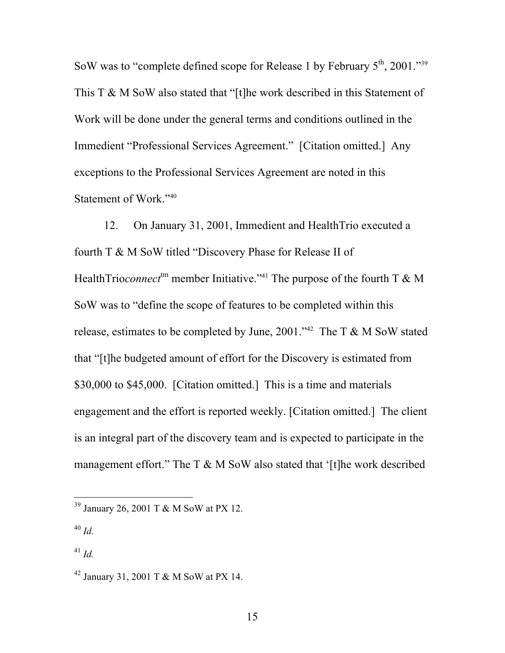SoW was to "complete defined scope for Release 1 by February  $5<sup>th</sup>$ , 2001."<sup>39</sup> This T & M SoW also stated that "[t]he work described in this Statement of Work will be done under the general terms and conditions outlined in the Immedient "Professional Services Agreement." [Citation omitted.] Any exceptions to the Professional Services Agreement are noted in this Statement of Work."[40](#page-14-1)

12. On January 31, 2001, Immedient and HealthTrio executed a fourth T & M SoW titled "Discovery Phase for Release II of HealthTrio*connect*<sup>tm</sup> member Initiative."<sup>41</sup> The purpose of the fourth T & M SoW was to "define the scope of features to be completed within this release, estimates to be completed by June, 2001."<sup>42</sup> The T & M SoW stated that "[t]he budgeted amount of effort for the Discovery is estimated from \$30,000 to \$45,000. [Citation omitted.] This is a time and materials engagement and the effort is reported weekly. [Citation omitted.] The client is an integral part of the discovery team and is expected to participate in the management effort." The T  $\&$  M SoW also stated that '[t]he work described

<span id="page-14-0"></span> <sup>39</sup> January 26, 2001 T & M SoW at PX 12.

<span id="page-14-1"></span><sup>40</sup> *Id.*

<span id="page-14-2"></span> $^{41}$  *Id.* 

<span id="page-14-3"></span><sup>42</sup> January 31, 2001 T & M SoW at PX 14.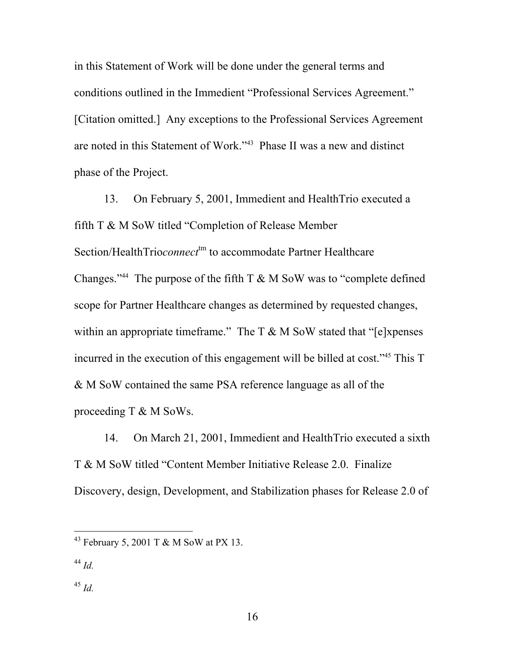in this Statement of Work will be done under the general terms and conditions outlined in the Immedient "Professional Services Agreement." [Citation omitted.] Any exceptions to the Professional Services Agreement are noted in this Statement of Work."[43](#page-15-0) Phase II was a new and distinct phase of the Project.

13. On February 5, 2001, Immedient and HealthTrio executed a fifth T & M SoW titled "Completion of Release Member Section/HealthTrio*connect*<sup>tm</sup> to accommodate Partner Healthcare Changes."<sup>44</sup> The purpose of the fifth  $T \& M$  SoW was to "complete defined" scope for Partner Healthcare changes as determined by requested changes, within an appropriate timeframe." The  $T \& M \& S \& W$  stated that "[e]xpenses incurred in the execution of this engagement will be billed at cost."[45](#page-15-2) This T & M SoW contained the same PSA reference language as all of the proceeding T & M SoWs.

14. On March 21, 2001, Immedient and HealthTrio executed a sixth T & M SoW titled "Content Member Initiative Release 2.0. Finalize Discovery, design, Development, and Stabilization phases for Release 2.0 of

<span id="page-15-0"></span> <sup>43</sup> February 5, 2001 T & M SoW at PX 13.

<span id="page-15-1"></span><sup>44</sup> *Id.*

<span id="page-15-2"></span><sup>45</sup> *Id.*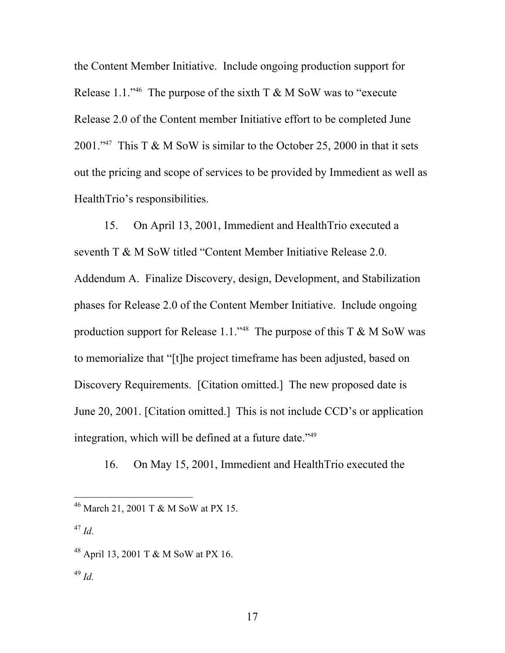the Content Member Initiative. Include ongoing production support for Release 1.1."<sup>46</sup> The purpose of the sixth T  $\&$  M SoW was to "execute Release 2.0 of the Content member Initiative effort to be completed June 2001."<sup>47</sup> This T & M SoW is similar to the October 25, 2000 in that it sets out the pricing and scope of services to be provided by Immedient as well as HealthTrio's responsibilities.

15. On April 13, 2001, Immedient and HealthTrio executed a seventh T & M SoW titled "Content Member Initiative Release 2.0. Addendum A. Finalize Discovery, design, Development, and Stabilization phases for Release 2.0 of the Content Member Initiative. Include ongoing production support for Release 1.1."<sup>48</sup> The purpose of this T & M SoW was to memorialize that "[t]he project timeframe has been adjusted, based on Discovery Requirements. [Citation omitted.] The new proposed date is June 20, 2001. [Citation omitted.] This is not include CCD's or application integration, which will be defined at a future date.["49](#page-16-3) 

16. On May 15, 2001, Immedient and HealthTrio executed the

<span id="page-16-0"></span> <sup>46</sup> March 21, 2001 T & M SoW at PX 15.

<span id="page-16-1"></span><sup>47</sup> *Id.*

<span id="page-16-2"></span><sup>48</sup> April 13, 2001 T & M SoW at PX 16.

<span id="page-16-3"></span><sup>49</sup> *Id.*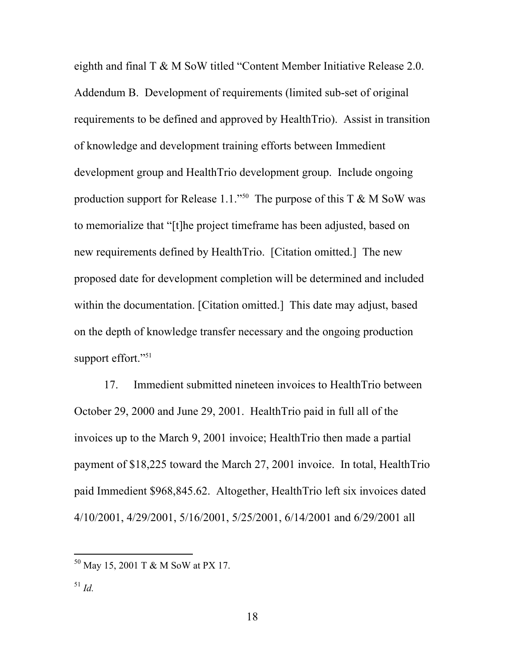eighth and final T & M SoW titled "Content Member Initiative Release 2.0. Addendum B. Development of requirements (limited sub-set of original requirements to be defined and approved by HealthTrio). Assist in transition of knowledge and development training efforts between Immedient development group and HealthTrio development group. Include ongoing production support for Release 1.1."<sup>50</sup> The purpose of this T & M SoW was to memorialize that "[t]he project timeframe has been adjusted, based on new requirements defined by HealthTrio. [Citation omitted.] The new proposed date for development completion will be determined and included within the documentation. [Citation omitted.] This date may adjust, based on the depth of knowledge transfer necessary and the ongoing production support effort."<sup>[51](#page-17-1)</sup>

17. Immedient submitted nineteen invoices to HealthTrio between October 29, 2000 and June 29, 2001. HealthTrio paid in full all of the invoices up to the March 9, 2001 invoice; HealthTrio then made a partial payment of \$18,225 toward the March 27, 2001 invoice. In total, HealthTrio paid Immedient \$968,845.62. Altogether, HealthTrio left six invoices dated 4/10/2001, 4/29/2001, 5/16/2001, 5/25/2001, 6/14/2001 and 6/29/2001 all

<span id="page-17-1"></span><span id="page-17-0"></span> <sup>50</sup> May 15, 2001 T & M SoW at PX 17.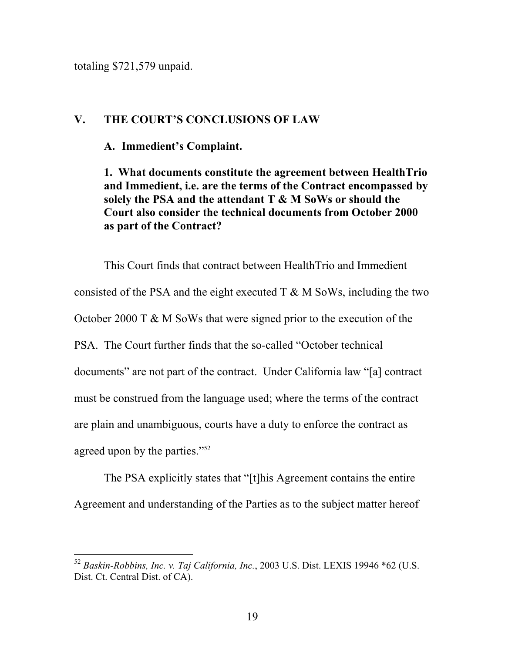totaling \$721,579 unpaid.

## **V. THE COURT'S CONCLUSIONS OF LAW**

**A. Immedient's Complaint.**

**1. What documents constitute the agreement between HealthTrio and Immedient, i.e. are the terms of the Contract encompassed by solely the PSA and the attendant T & M SoWs or should the Court also consider the technical documents from October 2000 as part of the Contract?** 

This Court finds that contract between HealthTrio and Immedient consisted of the PSA and the eight executed  $T \& M$  SoWs, including the two October 2000 T & M SoWs that were signed prior to the execution of the PSA. The Court further finds that the so-called "October technical documents" are not part of the contract. Under California law "[a] contract must be construed from the language used; where the terms of the contract are plain and unambiguous, courts have a duty to enforce the contract as agreed upon by the parties.["52](#page-18-0)

The PSA explicitly states that "[t]his Agreement contains the entire Agreement and understanding of the Parties as to the subject matter hereof

<span id="page-18-0"></span> <sup>52</sup> *Baskin-Robbins, Inc. v. Taj California, Inc.*, 2003 U.S. Dist. LEXIS 19946 \*62 (U.S. Dist. Ct. Central Dist. of CA).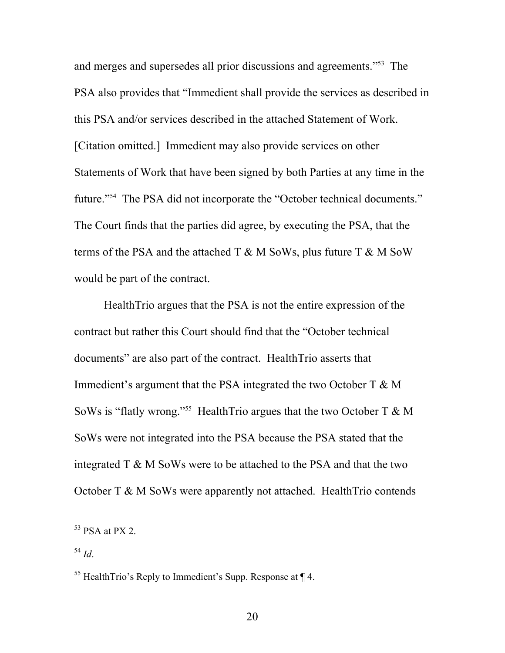and merges and supersedes all prior discussions and agreements.["53](#page-19-0) The PSA also provides that "Immedient shall provide the services as described in this PSA and/or services described in the attached Statement of Work. [Citation omitted.] Immedient may also provide services on other Statements of Work that have been signed by both Parties at any time in the future."<sup>54</sup> The PSA did not incorporate the "October technical documents." The Court finds that the parties did agree, by executing the PSA, that the terms of the PSA and the attached  $T \& M$  SoWs, plus future  $T \& M$  SoW would be part of the contract.

HealthTrio argues that the PSA is not the entire expression of the contract but rather this Court should find that the "October technical documents" are also part of the contract. HealthTrio asserts that Immedient's argument that the PSA integrated the two October T & M SoWs is "flatly wrong."<sup>55</sup> HealthTrio argues that the two October T  $\& M$ SoWs were not integrated into the PSA because the PSA stated that the integrated T & M SoWs were to be attached to the PSA and that the two October T & M SoWs were apparently not attached. HealthTrio contends

<span id="page-19-0"></span> $53$  PSA at PX 2.

<span id="page-19-1"></span><sup>54</sup> *Id*.

<span id="page-19-2"></span><sup>&</sup>lt;sup>55</sup> HealthTrio's Reply to Immedient's Supp. Response at  $\P$  4.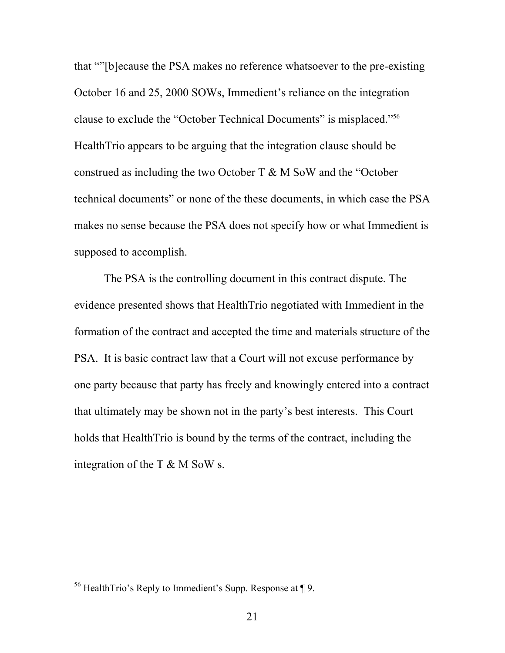that ""[b]ecause the PSA makes no reference whatsoever to the pre-existing October 16 and 25, 2000 SOWs, Immedient's reliance on the integration clause to exclude the "October Technical Documents" is misplaced."[56](#page-20-0)  HealthTrio appears to be arguing that the integration clause should be construed as including the two October T & M SoW and the "October technical documents" or none of the these documents, in which case the PSA makes no sense because the PSA does not specify how or what Immedient is supposed to accomplish.

The PSA is the controlling document in this contract dispute. The evidence presented shows that HealthTrio negotiated with Immedient in the formation of the contract and accepted the time and materials structure of the PSA. It is basic contract law that a Court will not excuse performance by one party because that party has freely and knowingly entered into a contract that ultimately may be shown not in the party's best interests. This Court holds that HealthTrio is bound by the terms of the contract, including the integration of the T & M SoW s.

<span id="page-20-0"></span> <sup>56</sup> HealthTrio's Reply to Immedient's Supp. Response at ¶ 9.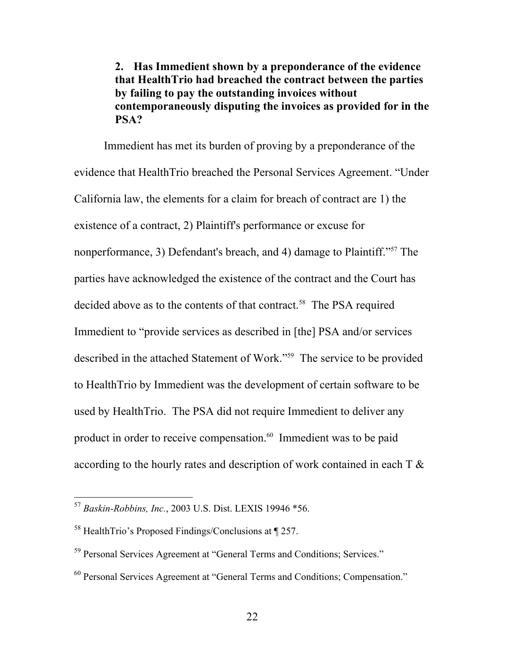# **2. Has Immedient shown by a preponderance of the evidence that HealthTrio had breached the contract between the parties by failing to pay the outstanding invoices without contemporaneously disputing the invoices as provided for in the PSA?**

Immedient has met its burden of proving by a preponderance of the evidence that HealthTrio breached the Personal Services Agreement. "Under California law, the elements for a claim for breach of contract are 1) the existence of a contract, 2) Plaintiff's performance or excuse for nonperformance, 3) Defendant's breach, and 4) damage to Plaintiff."<sup>57</sup> The parties have acknowledged the existence of the contract and the Court has decided above as to the contents of that contract.<sup>58</sup> The PSA required Immedient to "provide services as described in [the] PSA and/or services described in the attached Statement of Work."[59](#page-21-2) The service to be provided to HealthTrio by Immedient was the development of certain software to be used by HealthTrio. The PSA did not require Immedient to deliver any product in order to receive compensation.<sup>60</sup> Immedient was to be paid according to the hourly rates and description of work contained in each T &

<span id="page-21-0"></span> <sup>57</sup> *Baskin-Robbins, Inc.*, 2003 U.S. Dist. LEXIS 19946 \*56.

<span id="page-21-1"></span><sup>58</sup> HealthTrio's Proposed Findings/Conclusions at ¶ 257.

<span id="page-21-2"></span><sup>59</sup> Personal Services Agreement at "General Terms and Conditions; Services."

<span id="page-21-3"></span><sup>60</sup> Personal Services Agreement at "General Terms and Conditions; Compensation."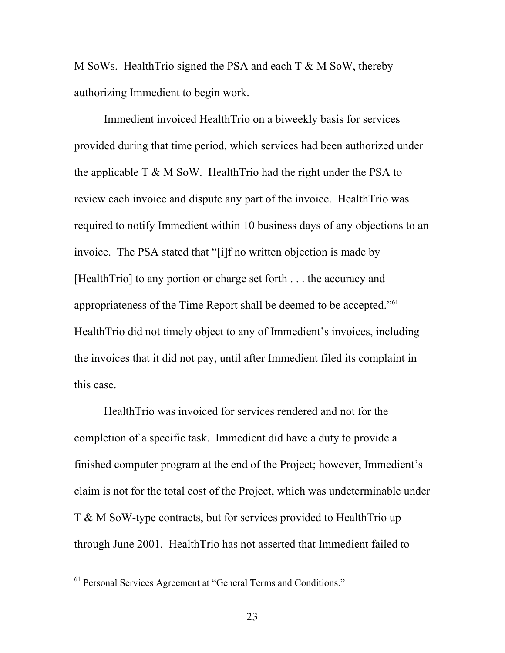M SoWs. HealthTrio signed the PSA and each T & M SoW, thereby authorizing Immedient to begin work.

Immedient invoiced HealthTrio on a biweekly basis for services provided during that time period, which services had been authorized under the applicable  $T \& M \& S_0W$ . Health Trio had the right under the PSA to review each invoice and dispute any part of the invoice. HealthTrio was required to notify Immedient within 10 business days of any objections to an invoice. The PSA stated that "[i]f no written objection is made by [HealthTrio] to any portion or charge set forth . . . the accuracy and appropriateness of the Time Report shall be deemed to be accepted.["61](#page-22-0)  HealthTrio did not timely object to any of Immedient's invoices, including the invoices that it did not pay, until after Immedient filed its complaint in this case.

HealthTrio was invoiced for services rendered and not for the completion of a specific task. Immedient did have a duty to provide a finished computer program at the end of the Project; however, Immedient's claim is not for the total cost of the Project, which was undeterminable under T & M SoW-type contracts, but for services provided to HealthTrio up through June 2001. HealthTrio has not asserted that Immedient failed to

<span id="page-22-0"></span> <sup>61</sup> Personal Services Agreement at "General Terms and Conditions."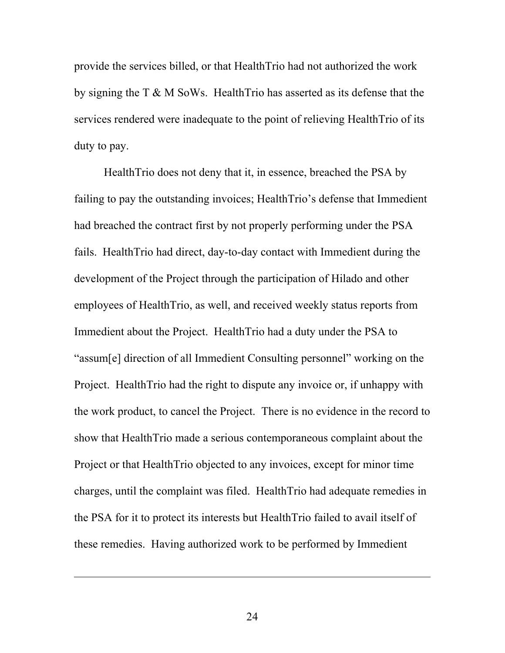provide the services billed, or that HealthTrio had not authorized the work by signing the T & M SoWs. HealthTrio has asserted as its defense that the services rendered were inadequate to the point of relieving HealthTrio of its duty to pay.

HealthTrio does not deny that it, in essence, breached the PSA by failing to pay the outstanding invoices; HealthTrio's defense that Immedient had breached the contract first by not properly performing under the PSA fails. HealthTrio had direct, day-to-day contact with Immedient during the development of the Project through the participation of Hilado and other employees of HealthTrio, as well, and received weekly status reports from Immedient about the Project. HealthTrio had a duty under the PSA to "assum[e] direction of all Immedient Consulting personnel" working on the Project. HealthTrio had the right to dispute any invoice or, if unhappy with the work product, to cancel the Project. There is no evidence in the record to show that HealthTrio made a serious contemporaneous complaint about the Project or that HealthTrio objected to any invoices, except for minor time charges, until the complaint was filed. HealthTrio had adequate remedies in the PSA for it to protect its interests but HealthTrio failed to avail itself of these remedies. Having authorized work to be performed by Immedient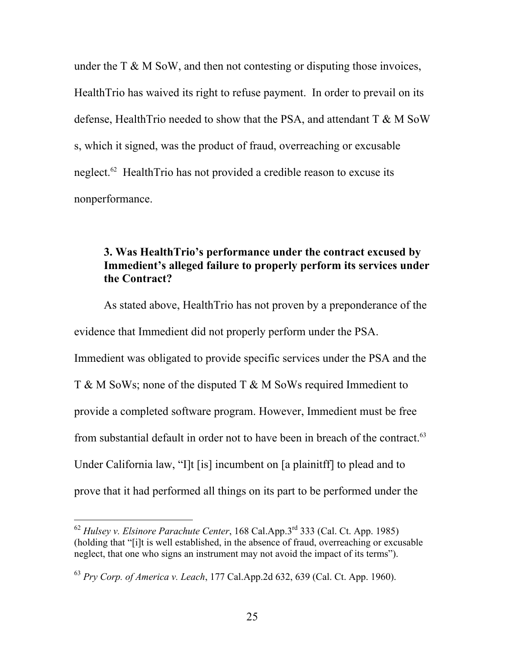under the  $T \& M \& Sow$ , and then not contesting or disputing those invoices, HealthTrio has waived its right to refuse payment. In order to prevail on its defense, HealthTrio needed to show that the PSA, and attendant T & M SoW s, which it signed, was the product of fraud, overreaching or excusable neglect.<sup>62</sup> HealthTrio has not provided a credible reason to excuse its nonperformance.

## **3. Was HealthTrio's performance under the contract excused by Immedient's alleged failure to properly perform its services under the Contract?**

As stated above, HealthTrio has not proven by a preponderance of the evidence that Immedient did not properly perform under the PSA. Immedient was obligated to provide specific services under the PSA and the T & M SoWs; none of the disputed T & M SoWs required Immedient to provide a completed software program. However, Immedient must be free from substantial default in order not to have been in breach of the contract.<sup>63</sup> Under California law, "I]t [is] incumbent on [a plainitff] to plead and to prove that it had performed all things on its part to be performed under the

<span id="page-24-0"></span> <sup>62</sup> *Hulsey v. Elsinore Parachute Center*, 168 Cal.App.3rd 333 (Cal. Ct. App. 1985) (holding that "[i]t is well established, in the absence of fraud, overreaching or excusable neglect, that one who signs an instrument may not avoid the impact of its terms").

<span id="page-24-1"></span><sup>63</sup> *Pry Corp. of America v. Leach*, 177 Cal.App.2d 632, 639 (Cal. Ct. App. 1960).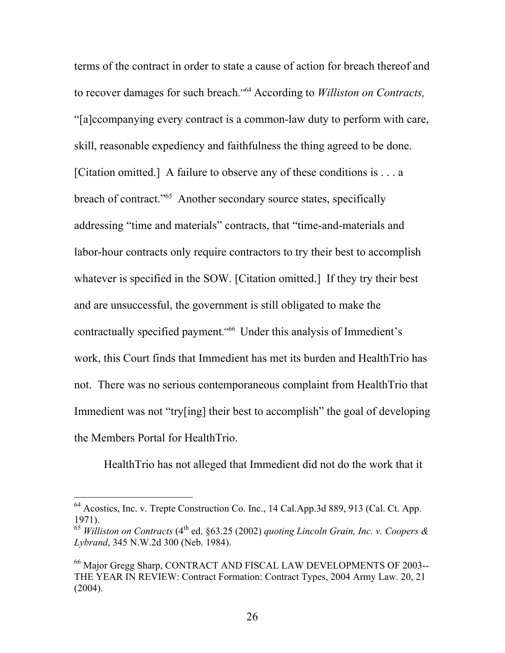terms of the contract in order to state a cause of action for breach thereof and to recover damages for such breach."[64](#page-25-0) According to *Williston on Contracts,*  "[a]ccompanying every contract is a common-law duty to perform with care, skill, reasonable expediency and faithfulness the thing agreed to be done. [Citation omitted.] A failure to observe any of these conditions is . . . a breach of contract."<sup>65</sup> Another secondary source states, specifically addressing "time and materials" contracts, that "time-and-materials and labor-hour contracts only require contractors to try their best to accomplish whatever is specified in the SOW. [Citation omitted.] If they try their best and are unsuccessful, the government is still obligated to make the contractually specified payment."<sup>66</sup> Under this analysis of Immedient's work, this Court finds that Immedient has met its burden and HealthTrio has not. There was no serious contemporaneous complaint from HealthTrio that Immedient was not "try[ing] their best to accomplish" the goal of developing the Members Portal for HealthTrio.

HealthTrio has not alleged that Immedient did not do the work that it

<span id="page-25-0"></span> <sup>64</sup> Acostics, Inc. v. Trepte Construction Co. Inc., 14 Cal.App.3d 889, 913 (Cal. Ct. App. 1971).

<span id="page-25-1"></span><sup>65</sup> *Williston on Contracts* (4th ed. §63.25 (2002) *quoting Lincoln Grain, Inc. v. Coopers & Lybrand*, 345 N.W.2d 300 (Neb. 1984).

<span id="page-25-2"></span><sup>66</sup> Major Gregg Sharp, CONTRACT AND FISCAL LAW DEVELOPMENTS OF 2003-- THE YEAR IN REVIEW: Contract Formation: Contract Types, 2004 Army Law. 20, 21  $(2004)$ .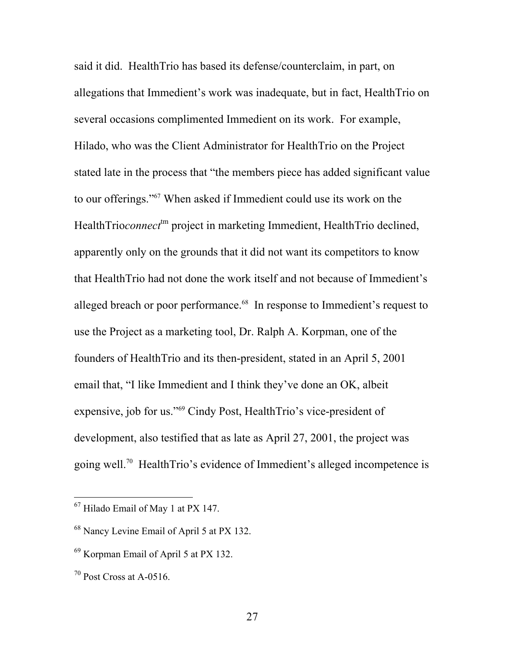said it did. HealthTrio has based its defense/counterclaim, in part, on allegations that Immedient's work was inadequate, but in fact, HealthTrio on several occasions complimented Immedient on its work. For example, Hilado, who was the Client Administrator for HealthTrio on the Project stated late in the process that "the members piece has added significant value to our offerings."[67](#page-26-0) When asked if Immedient could use its work on the HealthTrio*connect*<sup>tm</sup> project in marketing Immedient, HealthTrio declined, apparently only on the grounds that it did not want its competitors to know that HealthTrio had not done the work itself and not because of Immedient's alleged breach or poor performance.<sup>68</sup> In response to Immedient's request to use the Project as a marketing tool, Dr. Ralph A. Korpman, one of the founders of HealthTrio and its then-president, stated in an April 5, 2001 email that, "I like Immedient and I think they've done an OK, albeit expensive, job for us."[69](#page-26-2) Cindy Post, HealthTrio's vice-president of development, also testified that as late as April 27, 2001, the project was going well.[70](#page-26-3) HealthTrio's evidence of Immedient's alleged incompetence is

<span id="page-26-0"></span> <sup>67</sup> Hilado Email of May 1 at PX 147.

<span id="page-26-1"></span><sup>68</sup> Nancy Levine Email of April 5 at PX 132.

<span id="page-26-2"></span><sup>69</sup> Korpman Email of April 5 at PX 132.

<span id="page-26-3"></span> $70$  Post Cross at A-0516.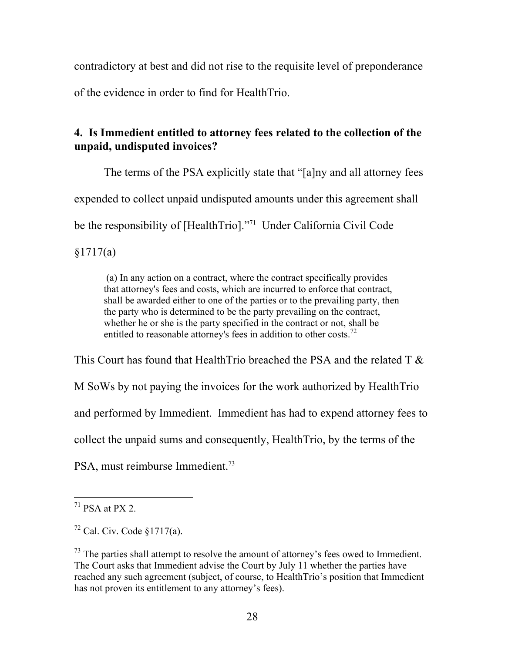contradictory at best and did not rise to the requisite level of preponderance of the evidence in order to find for HealthTrio.

# **4. Is Immedient entitled to attorney fees related to the collection of the unpaid, undisputed invoices?**

The terms of the PSA explicitly state that "[a]ny and all attorney fees expended to collect unpaid undisputed amounts under this agreement shall be the responsibility of [HealthTrio]."<sup>71</sup> Under California Civil Code §1717(a)

 (a) In any action on a contract, where the contract specifically provides that attorney's fees and costs, which are incurred to enforce that contract, shall be awarded either to one of the parties or to the prevailing party, then the party who is determined to be the party prevailing on the contract, whether he or she is the party specified in the contract or not, shall be entitled to reasonable attorney's fees in addition to other costs.<sup>[72](#page-27-1)</sup>

This Court has found that HealthTrio breached the PSA and the related  $T \&$ M SoWs by not paying the invoices for the work authorized by HealthTrio and performed by Immedient. Immedient has had to expend attorney fees to collect the unpaid sums and consequently, HealthTrio, by the terms of the PSA, must reimburse Immedient.<sup>[73](#page-27-2)</sup>

<span id="page-27-0"></span> $71$  PSA at PX 2.

<span id="page-27-1"></span> $72$  Cal. Civ. Code  $$1717(a)$ .

<span id="page-27-2"></span> $<sup>73</sup>$  The parties shall attempt to resolve the amount of attorney's fees owed to Immedient.</sup> The Court asks that Immedient advise the Court by July 11 whether the parties have reached any such agreement (subject, of course, to HealthTrio's position that Immedient has not proven its entitlement to any attorney's fees).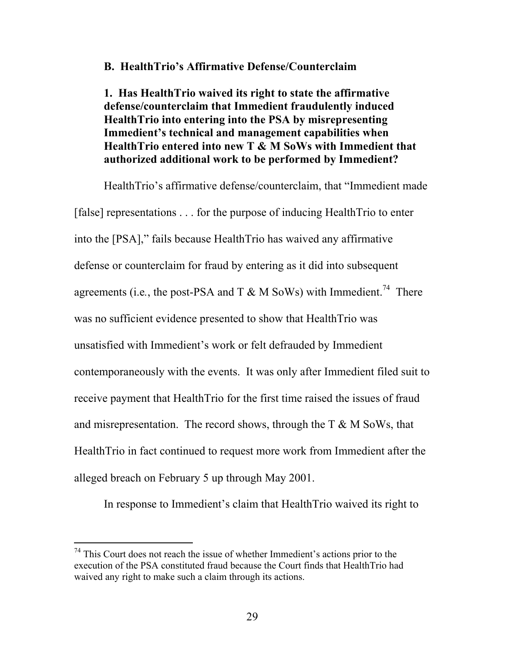### **B. HealthTrio's Affirmative Defense/Counterclaim**

**1. Has HealthTrio waived its right to state the affirmative defense/counterclaim that Immedient fraudulently induced HealthTrio into entering into the PSA by misrepresenting Immedient's technical and management capabilities when HealthTrio entered into new T & M SoWs with Immedient that authorized additional work to be performed by Immedient?** 

HealthTrio's affirmative defense/counterclaim, that "Immedient made [false] representations . . . for the purpose of inducing HealthTrio to enter into the [PSA]," fails because HealthTrio has waived any affirmative defense or counterclaim for fraud by entering as it did into subsequent agreements (i.e., the post-PSA and T  $\&$  M SoWs) with Immedient.<sup>74</sup> There was no sufficient evidence presented to show that HealthTrio was unsatisfied with Immedient's work or felt defrauded by Immedient contemporaneously with the events. It was only after Immedient filed suit to receive payment that HealthTrio for the first time raised the issues of fraud and misrepresentation. The record shows, through the  $T \& M \text{ SoWs}$ , that HealthTrio in fact continued to request more work from Immedient after the alleged breach on February 5 up through May 2001.

In response to Immedient's claim that HealthTrio waived its right to

<span id="page-28-0"></span> $74$  This Court does not reach the issue of whether Immedient's actions prior to the execution of the PSA constituted fraud because the Court finds that HealthTrio had waived any right to make such a claim through its actions.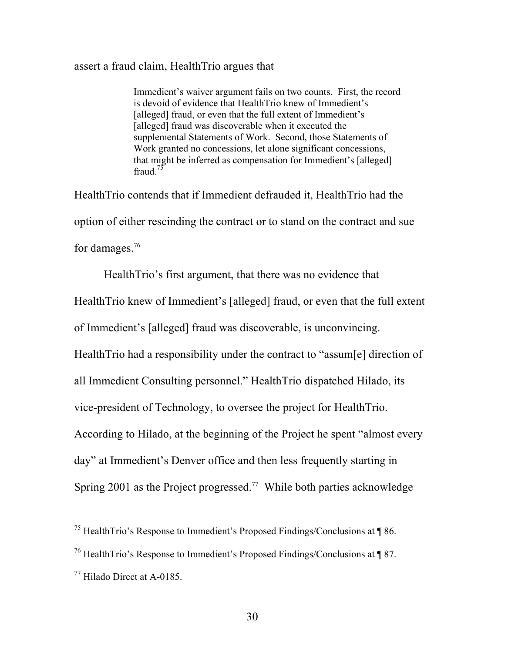#### assert a fraud claim, HealthTrio argues that

Immedient's waiver argument fails on two counts. First, the record is devoid of evidence that HealthTrio knew of Immedient's [alleged] fraud, or even that the full extent of Immedient's [alleged] fraud was discoverable when it executed the supplemental Statements of Work. Second, those Statements of Work granted no concessions, let alone significant concessions, that might be inferred as compensation for Immedient's [alleged] fraud  $75$ 

HealthTrio contends that if Immedient defrauded it, HealthTrio had the option of either rescinding the contract or to stand on the contract and sue for damages.<sup>76</sup>

HealthTrio's first argument, that there was no evidence that

HealthTrio knew of Immedient's [alleged] fraud, or even that the full extent

of Immedient's [alleged] fraud was discoverable, is unconvincing.

HealthTrio had a responsibility under the contract to "assum[e] direction of

all Immedient Consulting personnel." HealthTrio dispatched Hilado, its

vice-president of Technology, to oversee the project for HealthTrio.

According to Hilado, at the beginning of the Project he spent "almost every

day" at Immedient's Denver office and then less frequently starting in

Spring 2001 as the Project progressed.<sup>77</sup> While both parties acknowledge

<span id="page-29-0"></span> <sup>75</sup> HealthTrio's Response to Immedient's Proposed Findings/Conclusions at ¶ 86.

<span id="page-29-1"></span><sup>76</sup> HealthTrio's Response to Immedient's Proposed Findings/Conclusions at ¶ 87.

<span id="page-29-2"></span> $^{77}$  Hilado Direct at A-0185.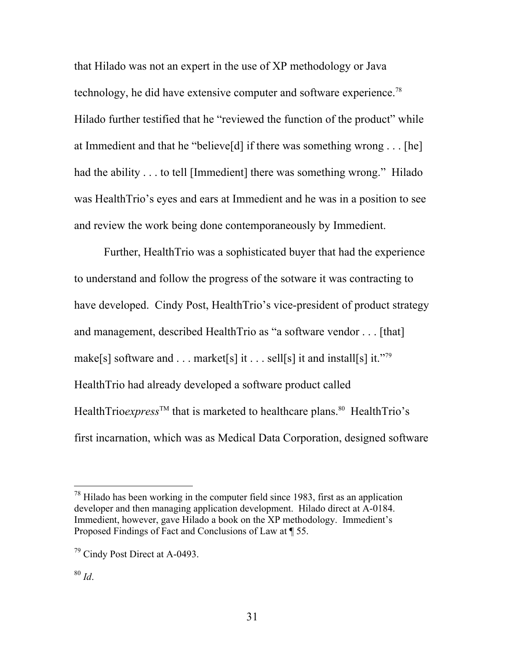that Hilado was not an expert in the use of XP methodology or Java technology, he did have extensive computer and software experience.[78](#page-30-0)  Hilado further testified that he "reviewed the function of the product" while at Immedient and that he "believe[d] if there was something wrong . . . [he] had the ability . . . to tell [Immedient] there was something wrong." Hilado was HealthTrio's eyes and ears at Immedient and he was in a position to see and review the work being done contemporaneously by Immedient.

Further, HealthTrio was a sophisticated buyer that had the experience to understand and follow the progress of the sotware it was contracting to have developed. Cindy Post, HealthTrio's vice-president of product strategy and management, described HealthTrio as "a software vendor . . . [that] make[s] software and . . . market[s] it . . . sell[s] it and install[s] it."<sup>79</sup> HealthTrio had already developed a software product called HealthTrio $express^{\text{TM}}$  that is marketed to healthcare plans.<sup>80</sup> HealthTrio's first incarnation, which was as Medical Data Corporation, designed software

<span id="page-30-0"></span> $78$  Hilado has been working in the computer field since 1983, first as an application developer and then managing application development. Hilado direct at A-0184. Immedient, however, gave Hilado a book on the XP methodology. Immedient's Proposed Findings of Fact and Conclusions of Law at ¶ 55.

<span id="page-30-1"></span><sup>79</sup> Cindy Post Direct at A-0493.

<span id="page-30-2"></span><sup>80</sup> *Id*.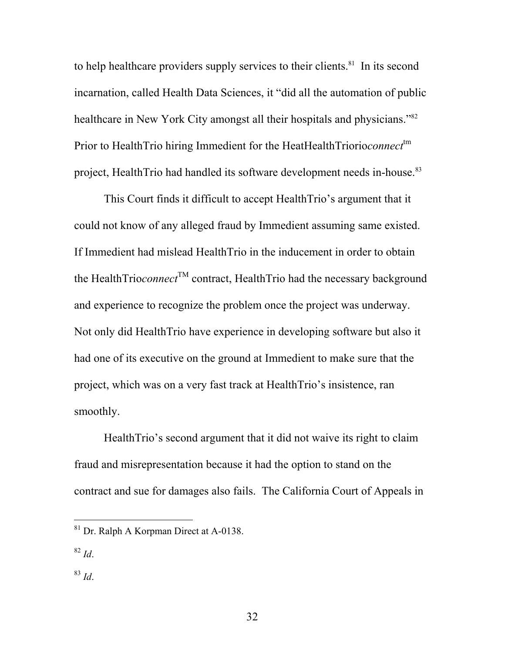to help healthcare providers supply services to their clients.<sup>81</sup> In its second incarnation, called Health Data Sciences, it "did all the automation of public healthcare in New York City amongst all their hospitals and physicians."<sup>82</sup> Prior to HealthTrio hiring Immedient for the HeatHealthTriorio*connect*<sup>tm</sup> project, HealthTrio had handled its software development needs in-house.<sup>[83](#page-31-2)</sup>

This Court finds it difficult to accept HealthTrio's argument that it could not know of any alleged fraud by Immedient assuming same existed. If Immedient had mislead HealthTrio in the inducement in order to obtain the HealthTrio*connect*<sup>TM</sup> contract, HealthTrio had the necessary background and experience to recognize the problem once the project was underway. Not only did HealthTrio have experience in developing software but also it had one of its executive on the ground at Immedient to make sure that the project, which was on a very fast track at HealthTrio's insistence, ran smoothly.

HealthTrio's second argument that it did not waive its right to claim fraud and misrepresentation because it had the option to stand on the contract and sue for damages also fails. The California Court of Appeals in

<span id="page-31-1"></span><sup>82</sup> *Id*.

<span id="page-31-2"></span><sup>83</sup> *Id*.

<span id="page-31-0"></span> <sup>81</sup> Dr. Ralph A Korpman Direct at A-0138.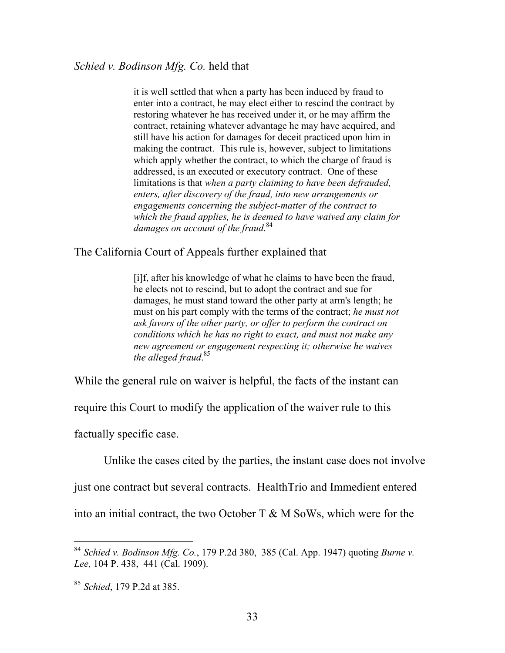it is well settled that when a party has been induced by fraud to enter into a contract, he may elect either to rescind the contract by restoring whatever he has received under it, or he may affirm the contract, retaining whatever advantage he may have acquired, and still have his action for damages for deceit practiced upon him in making the contract. This rule is, however, subject to limitations which apply whether the contract, to which the charge of fraud is addressed, is an executed or executory contract. One of these limitations is that *when a party claiming to have been defrauded, enters, after discovery of the fraud, into new arrangements or engagements concerning the subject-matter of the contract to which the fraud applies, he is deemed to have waived any claim for*  damages on account of the fraud.<sup>[84](#page-32-0)</sup>

The California Court of Appeals further explained that

[i]f, after his knowledge of what he claims to have been the fraud, he elects not to rescind, but to adopt the contract and sue for damages, he must stand toward the other party at arm's length; he must on his part comply with the terms of the contract; *he must not ask favors of the other party, or offer to perform the contract on conditions which he has no right to exact, and must not make any new agreement or engagement respecting it; otherwise he waives the alleged fraud*. [85](#page-32-1)

While the general rule on waiver is helpful, the facts of the instant can

require this Court to modify the application of the waiver rule to this

factually specific case.

Unlike the cases cited by the parties, the instant case does not involve

just one contract but several contracts. HealthTrio and Immedient entered

into an initial contract, the two October  $T \& M \text{ SoWs}$ , which were for the

<span id="page-32-0"></span> <sup>84</sup> *Schied v. Bodinson Mfg. Co.*, 179 P.2d 380, 385 (Cal. App. 1947) quoting *Burne v. Lee,* 104 P. 438, 441 (Cal. 1909).

<span id="page-32-1"></span><sup>85</sup> *Schied*, 179 P.2d at 385.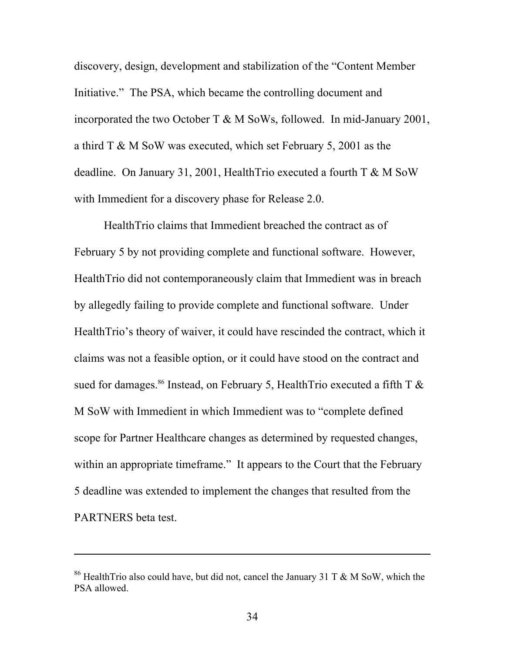discovery, design, development and stabilization of the "Content Member Initiative." The PSA, which became the controlling document and incorporated the two October T & M SoWs, followed. In mid-January 2001, a third T & M SoW was executed, which set February 5, 2001 as the deadline. On January 31, 2001, HealthTrio executed a fourth T & M SoW with Immedient for a discovery phase for Release 2.0.

HealthTrio claims that Immedient breached the contract as of February 5 by not providing complete and functional software. However, HealthTrio did not contemporaneously claim that Immedient was in breach by allegedly failing to provide complete and functional software. Under HealthTrio's theory of waiver, it could have rescinded the contract, which it claims was not a feasible option, or it could have stood on the contract and sued for damages.<sup>86</sup> Instead, on February 5, HealthTrio executed a fifth T  $\&$ M SoW with Immedient in which Immedient was to "complete defined scope for Partner Healthcare changes as determined by requested changes, within an appropriate timeframe." It appears to the Court that the February 5 deadline was extended to implement the changes that resulted from the PARTNERS beta test.

<span id="page-33-0"></span><sup>&</sup>lt;sup>86</sup> HealthTrio also could have, but did not, cancel the January 31 T & M SoW, which the PSA allowed.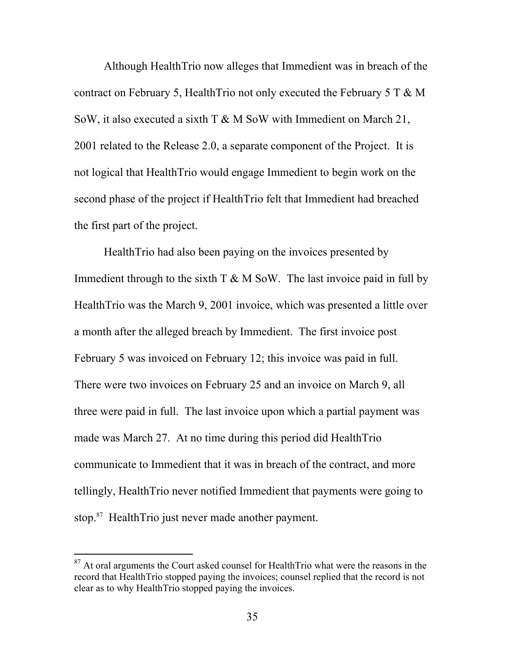Although HealthTrio now alleges that Immedient was in breach of the contract on February 5, HealthTrio not only executed the February 5 T  $\& M$ SoW, it also executed a sixth T & M SoW with Immedient on March 21, 2001 related to the Release 2.0, a separate component of the Project. It is not logical that HealthTrio would engage Immedient to begin work on the second phase of the project if HealthTrio felt that Immedient had breached the first part of the project.

HealthTrio had also been paying on the invoices presented by Immedient through to the sixth  $T \& M \& S_0W$ . The last invoice paid in full by HealthTrio was the March 9, 2001 invoice, which was presented a little over a month after the alleged breach by Immedient. The first invoice post February 5 was invoiced on February 12; this invoice was paid in full. There were two invoices on February 25 and an invoice on March 9, all three were paid in full. The last invoice upon which a partial payment was made was March 27. At no time during this period did HealthTrio communicate to Immedient that it was in breach of the contract, and more tellingly, HealthTrio never notified Immedient that payments were going to stop.[87](#page-34-0) HealthTrio just never made another payment.

<span id="page-34-0"></span><sup>&</sup>lt;sup>87</sup> At oral arguments the Court asked counsel for HealthTrio what were the reasons in the record that HealthTrio stopped paying the invoices; counsel replied that the record is not clear as to why HealthTrio stopped paying the invoices.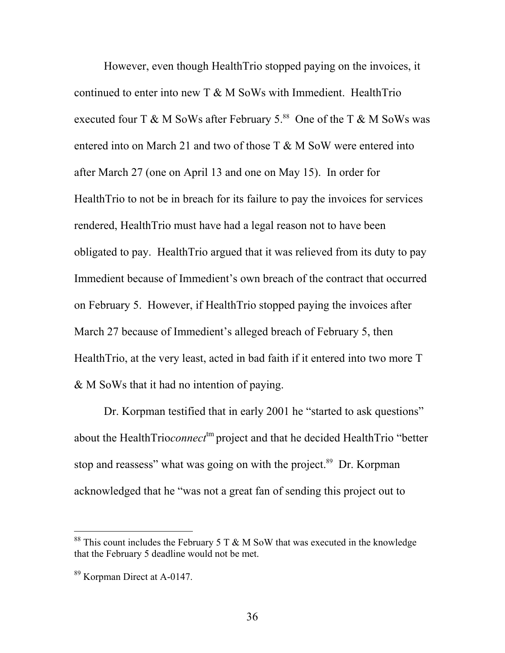However, even though HealthTrio stopped paying on the invoices, it continued to enter into new  $T \& M$  SoWs with Immedient. HealthTrio executed four T & M SoWs after February  $5.^{88}$  One of the T & M SoWs was entered into on March 21 and two of those  $T \& M$  SoW were entered into after March 27 (one on April 13 and one on May 15). In order for HealthTrio to not be in breach for its failure to pay the invoices for services rendered, HealthTrio must have had a legal reason not to have been obligated to pay. HealthTrio argued that it was relieved from its duty to pay Immedient because of Immedient's own breach of the contract that occurred on February 5. However, if HealthTrio stopped paying the invoices after March 27 because of Immedient's alleged breach of February 5, then HealthTrio, at the very least, acted in bad faith if it entered into two more T & M SoWs that it had no intention of paying.

Dr. Korpman testified that in early 2001 he "started to ask questions" about the HealthTrio*connect*<sup>tm</sup> project and that he decided HealthTrio "better stop and reassess" what was going on with the project.<sup>89</sup> Dr. Korpman acknowledged that he "was not a great fan of sending this project out to

<span id="page-35-0"></span><sup>&</sup>lt;sup>88</sup> This count includes the February 5 T  $\&$  M SoW that was executed in the knowledge that the February 5 deadline would not be met.

<span id="page-35-1"></span><sup>89</sup> Korpman Direct at A-0147.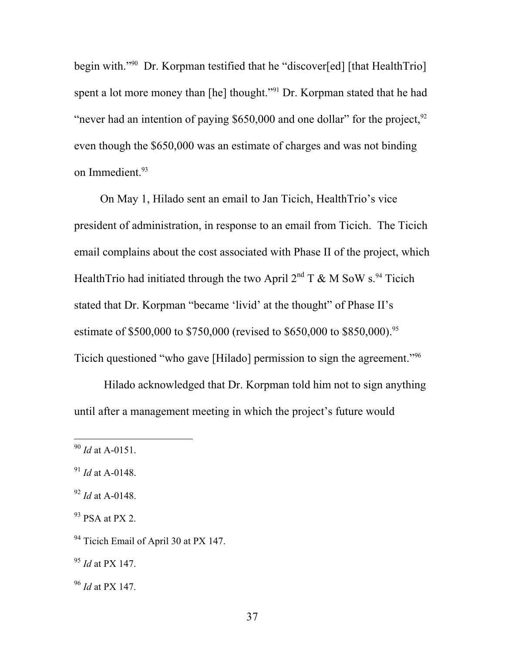begin with."<sup>90</sup> Dr. Korpman testified that he "discover[ed] [that HealthTrio] spent a lot more money than [he] thought."<sup>91</sup> Dr. Korpman stated that he had "never had an intention of paying  $$650,000$  and one dollar" for the project,  $^{92}$  $^{92}$  $^{92}$ even though the \$650,000 was an estimate of charges and was not binding on Immedient.<sup>93</sup>

On May 1, Hilado sent an email to Jan Ticich, HealthTrio's vice president of administration, in response to an email from Ticich. The Ticich email complains about the cost associated with Phase II of the project, which HealthTrio had initiated through the two April  $2^{nd}$  T & M SoW s.<sup>94</sup> Ticich stated that Dr. Korpman "became 'livid' at the thought" of Phase II's estimate of \$500,000 to \$750,000 (revised to \$650,000 to \$850,000).<sup>95</sup> Ticich questioned "who gave [Hilado] permission to sign the agreement."[96](#page-36-6) 

Hilado acknowledged that Dr. Korpman told him not to sign anything until after a management meeting in which the project's future would

<span id="page-36-0"></span> <sup>90</sup> *Id* at A-0151.

<span id="page-36-1"></span><sup>91</sup> *Id* at A-0148.

<span id="page-36-2"></span><sup>92</sup> *Id* at A-0148.

<span id="page-36-3"></span> $93$  PSA at PX 2.

<span id="page-36-4"></span><sup>&</sup>lt;sup>94</sup> Ticich Email of April 30 at PX 147.

<span id="page-36-5"></span><sup>95</sup> *Id* at PX 147.

<span id="page-36-6"></span><sup>96</sup> *Id* at PX 147.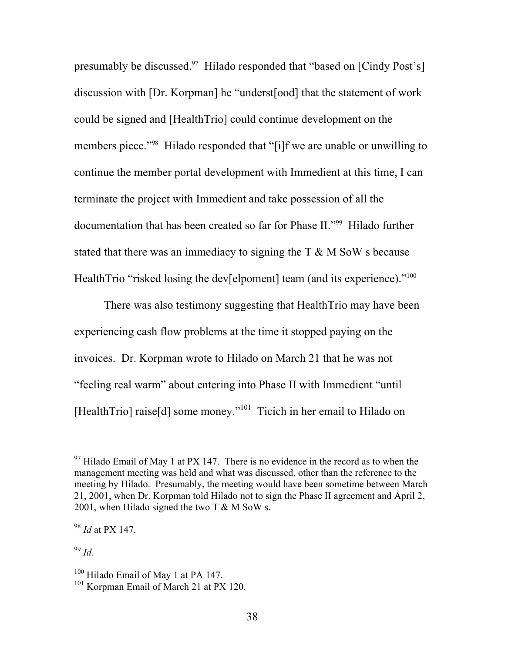presumably be discussed.<sup>97</sup> Hilado responded that "based on [Cindy Post's] discussion with [Dr. Korpman] he "underst[ood] that the statement of work could be signed and [HealthTrio] could continue development on the members piece."<sup>98</sup> Hilado responded that "[i]f we are unable or unwilling to continue the member portal development with Immedient at this time, I can terminate the project with Immedient and take possession of all the documentation that has been created so far for Phase II.["99](#page-37-2) Hilado further stated that there was an immediacy to signing the  $T \& M \text{ SoW}$  s because HealthTrio "risked losing the dev[elpoment] team (and its experience)."<sup>[100](#page-37-3)</sup>

There was also testimony suggesting that HealthTrio may have been experiencing cash flow problems at the time it stopped paying on the invoices. Dr. Korpman wrote to Hilado on March 21 that he was not "feeling real warm" about entering into Phase II with Immedient "until [HealthTrio] raise[d] some money."<sup>101</sup> Ticich in her email to Hilado on

<span id="page-37-2"></span><sup>99</sup> *Id*.

<span id="page-37-0"></span> $97$  Hilado Email of May 1 at PX 147. There is no evidence in the record as to when the management meeting was held and what was discussed, other than the reference to the meeting by Hilado. Presumably, the meeting would have been sometime between March 21, 2001, when Dr. Korpman told Hilado not to sign the Phase II agreement and April 2, 2001, when Hilado signed the two  $T \& M \text{ SoW s.}$ 

<span id="page-37-1"></span><sup>98</sup> *Id* at PX 147.

<span id="page-37-3"></span><sup>&</sup>lt;sup>100</sup> Hilado Email of May 1 at PA 147.

<span id="page-37-4"></span><sup>&</sup>lt;sup>101</sup> Korpman Email of March 21 at PX 120.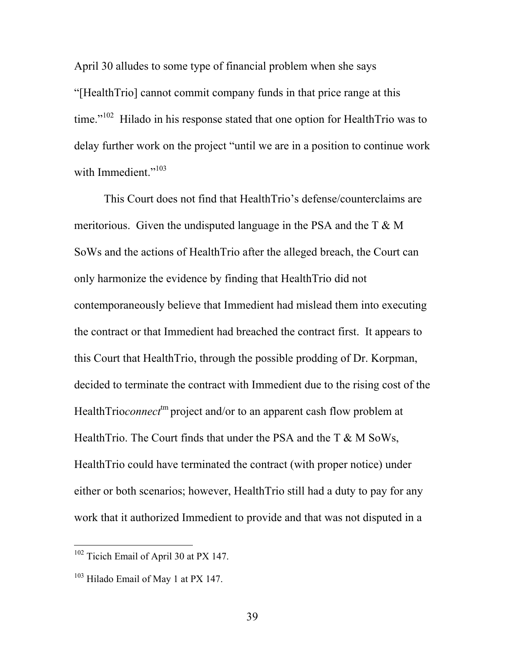April 30 alludes to some type of financial problem when she says "[HealthTrio] cannot commit company funds in that price range at this time."<sup>102</sup> Hilado in his response stated that one option for HealthTrio was to delay further work on the project "until we are in a position to continue work with Immedient."<sup>103</sup>

This Court does not find that HealthTrio's defense/counterclaims are meritorious. Given the undisputed language in the PSA and the  $T \& M$ SoWs and the actions of HealthTrio after the alleged breach, the Court can only harmonize the evidence by finding that HealthTrio did not contemporaneously believe that Immedient had mislead them into executing the contract or that Immedient had breached the contract first. It appears to this Court that HealthTrio, through the possible prodding of Dr. Korpman, decided to terminate the contract with Immedient due to the rising cost of the HealthTrio*connect*<sup>tm</sup> project and/or to an apparent cash flow problem at HealthTrio. The Court finds that under the PSA and the T & M SoWs, HealthTrio could have terminated the contract (with proper notice) under either or both scenarios; however, HealthTrio still had a duty to pay for any work that it authorized Immedient to provide and that was not disputed in a

<span id="page-38-0"></span><sup>&</sup>lt;sup>102</sup> Ticich Email of April 30 at PX 147.

<span id="page-38-1"></span><sup>&</sup>lt;sup>103</sup> Hilado Email of May 1 at PX 147.